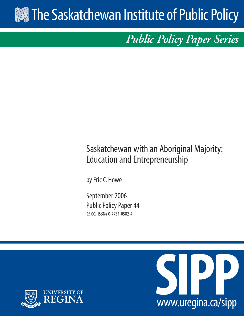# **Solution Institute of Public Policy**

*Public Policy Paper Series*

## Saskatchewan with an Aboriginal Majority: Education and Entrepreneurship

by Eric C. Howe

September 2006 Public Policy Paper 44 \$5.00; ISBN# 0-7731-0582-4



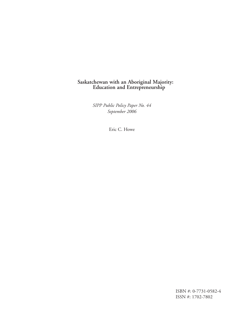## **Saskatchewan with an Aboriginal Majority: Education and Entrepreneurship**

*SIPP Public Policy Paper No. 44 September 2006*

Eric C. Howe

ISBN #: 0-7731-0582-4 ISSN #: 1702-7802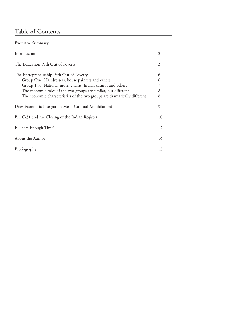## **Table of Contents**

| <b>Executive Summary</b>                                                                                                                                                                                                                                                                                      |                       |  |
|---------------------------------------------------------------------------------------------------------------------------------------------------------------------------------------------------------------------------------------------------------------------------------------------------------------|-----------------------|--|
| Introduction                                                                                                                                                                                                                                                                                                  | $\mathcal{L}$         |  |
| The Education Path Out of Poverty                                                                                                                                                                                                                                                                             | 3                     |  |
| The Entrepreneurship Path Out of Poverty<br>Group One: Hairdressers, house painters and others<br>Group Two: National motel chains, Indian casinos and others<br>The economic roles of the two groups are similar, but different<br>The economic characteristics of the two groups are dramatically different | 6<br>6<br>7<br>8<br>8 |  |
| Does Economic Integration Mean Cultural Annihilation?                                                                                                                                                                                                                                                         | 9                     |  |
| Bill C-31 and the Closing of the Indian Register                                                                                                                                                                                                                                                              |                       |  |
| Is There Enough Time?                                                                                                                                                                                                                                                                                         |                       |  |
| About the Author                                                                                                                                                                                                                                                                                              |                       |  |
| Bibliography                                                                                                                                                                                                                                                                                                  |                       |  |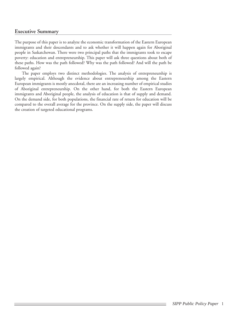#### **Executive Summary**

The purpose of this paper is to analyze the economic transformation of the Eastern European immigrants and their descendants and to ask whether it will happen again for Aboriginal people in Saskatchewan. There were two principal paths that the immigrants took to escape poverty: education and entrepreneurship. This paper will ask three questions about both of these paths. How was the path followed? Why was the path followed? And will the path be followed again?

The paper employs two distinct methodologies. The analysis of entrepreneurship is largely empirical. Although the evidence about entrepreneurship among the Eastern European immigrants is mostly anecdotal, there are an increasing number of empirical studies of Aboriginal entrepreneurship. On the other hand, for both the Eastern European immigrants and Aboriginal people, the analysis of education is that of supply and demand. On the demand side, for both populations, the financial rate of return for education will be compared to the overall average for the province. On the supply side, the paper will discuss the creation of targeted educational programs.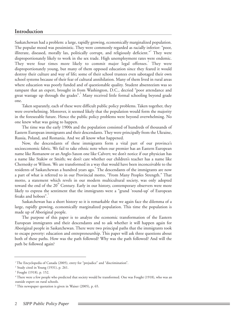#### **Introduction**

Saskatchewan had a problem: a large, rapidly growing, economically marginalized population. The popular mood was pessimistic. They were commonly regarded as racially inferior: "poor, illiterate, diseased, morally lax, politically corrupt, and religiously deficient." They were disproportionately likely to work in the sex trade. High unemployment rates were endemic. They were four times more likely to commit major legal offenses.<sup>2</sup> They were disproportionately young, but many of them opposed education since they feared it would destroy their culture and way of life; some of their school trustees even sabotaged their own school systems because of their fear of cultural annihilation. Many of them lived in rural areas where education was poorly funded and of questionable quality. Student absenteeism was so rampant that an expert, brought in from Washington, D.C., decried "poor attendance and great wastage up through the grades".<sup>3</sup> Many received little formal schooling beyond grade one.

Taken separately, each of these were difficult public policy problems. Taken together, they were overwhelming. Moreover, it seemed likely that the population would form the majority in the foreseeable future. Hence the public policy problems were beyond overwhelming. No one knew what was going to happen.

The time was the early 1900s and the population consisted of hundreds of thousands of Eastern European immigrants and their descendants. They were principally from the Ukraine, Russia, Poland, and Romania. And we all know what happened.

Now, the descendants of these immigrants form a vital part of our province's socioeconomic fabric. We fail to take ethnic note when our premier has an Eastern European name like Romanow or an Anglo-Saxon one like Calvert; we don't notice if our physician has a name like Stakiw or Smith; we don't care whether our children's teacher has a name like Chernesky or Wilson. We are transformed in a way that would have been inconceivable to the residents of Saskatchewan a hundred years ago.<sup>4</sup> The descendants of the immigrants are now a part of what is referred to in our Provincial motto, "From Many Peoples Strength." That motto, a statement which revels in our modern multicultural society, was only adopted toward the end of the 20<sup>th</sup> Century. Early in our history, contemporary observers were more likely to express the sentiment that the immigrants were a "grand 'round-up' of European freaks and hoboes".

Saskatchewan has a short history so it is remarkable that we again face the dilemma of a large, rapidly growing, economically marginalized population. This time the population is made up of Aboriginal people.

The purpose of this paper is to analyze the economic transformation of the Eastern European immigrants and their descendants and to ask whether it will happen again for Aboriginal people in Saskatchewan. There were two principal paths that the immigrants took to escape poverty: education and entrepreneurship. This paper will ask three questions about both of these paths. How was the path followed? Why was the path followed? And will the path be followed again?

<sup>&</sup>lt;sup>1</sup> The Encyclopedia of Canada (2005), entry for "prejudice" and "discrimination".

<sup>2</sup> Study cited in Young (1931), p. 261.

<sup>3</sup> Fought (1918), p. 152.

<sup>4</sup> There were a few people who predicted that society would be transformed. One was Fought (1918), who was an outside expert on rural schools.

<sup>5</sup> This newspaper quotation is given in Waiser (2005), p. 65.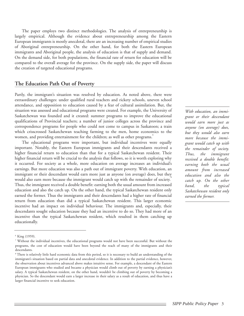The paper employs two distinct methodologies. The analysis of entrepreneurship is largely empirical. Although the evidence about entrepreneurship among the Eastern European immigrants is mostly anecdotal, there are an increasing number of empirical studies of Aboriginal entrepreneurship. On the other hand, for both the Eastern European immigrants and Aboriginal people, the analysis of education is that of supply and demand. On the demand side, for both populations, the financial rate of return for education will be compared to the overall average for the province. On the supply side, the paper will discuss the creation of targeted educational programs.

#### **The Education Path Out of Poverty**

Partly, the immigrant's situation was resolved by education. As noted above, there were extraordinary challenges: under qualified rural teachers and rickety schools, uneven school attendance, and opposition to education caused by a fear of cultural assimilation. But, the situation was assessed and educational programs were created. For example, the University of Saskatchewan was founded and it created: summer programs to improve the educational qualifications of Provincial teachers; a number of junior colleges across the province and correspondence programs for people who could not come to campus in Saskatoon; a train which crisscrossed Saskatchewan teaching farming to the men, home economics to the women, and providing entertainment for the children; as well as other programs.<sup>6</sup>

The educational programs were important, but individual incentives were equally important. Notably, the Eastern European immigrants and their descendants received a higher financial return to education than that for a typical Saskatchewan resident. Their higher financial return will be crucial to the analysis that follows, so it is worth exploring why it occurred. For society as a whole, more education on average increases an individual's earnings. But more education was also a path out of immigrant poverty. With education, an immigrant or their descendant would earn more just as anyone (on average) does, but they would also earn more because the immigrant would catch up with the remainder of society.<sup>8</sup> Thus, the immigrant received a double benefit: earning both the usual amount from increased education and also the catch up. On the other hand, the typical Saskatchewan resident only earned the former. Thus the immigrants and their descendants had a higher rate of financial return from education than did a typical Saskatchewan resident. This larger economic incentive had an impact on individual behaviour. The immigrants and, especially, their descendants sought education because they had an incentive to do so. They had more of an incentive than the typical Saskatchewan resident, which resulted in them catching up educationally.

*With education, an immigrant or their descendant would earn more just as anyone (on average) does, but they would also earn more because the immigrant would catch up with the remainder of society. Thus, the immigrant received a double benefit: earning both the usual amount from increased education and also the catch up. On the other hand, the typical Saskatchewan resident only earned the former.* 

<sup>6</sup> King (1959).

<sup>7</sup> Without the individual incentives, the educational programs would not have been successful. But without the programs, the cost of education would have been beyond the reach of many of the immigrants and their descendants.

<sup>&</sup>lt;sup>8</sup> There is relatively little hard economic data from this period, so it is necessary to build an understanding of the immigrant's situation based on partial data and anecdotal evidence. In addition to the partial evidence, however, the observation about incentives advanced above makes intuitive sense. For example, a descendant of the Eastern European immigrants who studied and became a physician would climb out of poverty by earning a physician's salary. A typical Saskatchewan resident, on the other hand, wouldn't be climbing out of poverty by becoming a physician. So the descendant would earn a larger increase in their salary as a result of education, and thus have a larger financial incentive to seek education.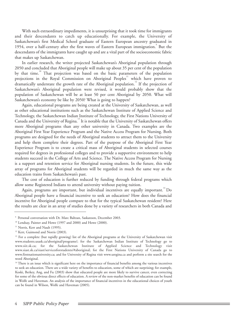With such extraordinary impediments, it is unsurprising that it took time for immigrants and their descendants to catch up educationally. For example, the University of Saskatchewan's first Medical School graduate of Eastern European ancestry graduated in 1954, over a half-century after the first waves of Eastern European immigration.<sup>9</sup> But the descendants of the immigrants have caught up and are a vital part of the socioeconomic fabric that makes up Saskatchewan.

In earlier research, the writer projected Saskatchewan's Aboriginal population through 2050 and concluded that Aboriginal people will make up about 35 per cent of the population by that time.<sup>"</sup> That projection was based on the basic parameters of the population projections in the Royal Commission on Aboriginal Peoples<sup>11</sup> which have proven to dramatically understate the growth rate of the Aboriginal population.<sup>12</sup> If the projection of Saskatchewan's Aboriginal population were revised, it would probably show that the population of Saskatchewan will be at least 50 per cent Aboriginal by 2050. What will Saskatchewan's economy be like by 2050? What is going to happen?

Again, educational programs are being created at the University of Saskatchewan, as well as other educational institutions such as the Saskatchewan Institute of Applied Science and Technology, the Saskatchewan Indian Institute of Technology, the First Nations University of Canada and the University of Regina.<sup>13</sup> It is notable that the University of Saskatchewan offers more Aboriginal programs than any other university in Canada. Two examples are the Aboriginal First Year Experience Program and the Native Access Program for Nursing. Both programs are designed for the needs of Aboriginal students to attract them to the University and help them complete their degrees. Part of the purpose of the Aboriginal First Year Experience Program is to create a critical mass of Aboriginal students in selected courses required for degrees in professional colleges and to provide a supportive environment to help students succeed in the College of Arts and Science. The Native Access Program for Nursing is a support and retention service for Aboriginal nursing students. In the future, this wide array of programs for Aboriginal students will be regarded in much the same way as the education trains from Saskatchewan's past.

The cost of education is further reduced by funding through federal programs which allow some Registered Indians to attend university without paying tuition.

Again, programs are important, but individual incentives are equally important.<sup>14</sup> Do Aboriginal people have a financial incentive to seek an education? How does the financial incentive for Aboriginal people compare to that for the typical Saskatchewan resident? Here the results are clear in an array of studies done by a variety of researchers in both Canada and

<sup>9</sup> Personal conversation with Dr. Marc Baltzan, Saskatoon, December 2003.

<sup>&</sup>lt;sup>10</sup> Lendsay, Painter and Howe (1997 and 2000) and Howe (2000).

<sup>&</sup>lt;sup>11</sup> Norris, Kerr and Nault (1995).

<sup>&</sup>lt;sup>12</sup> Kerr, Guimond and Norris (2003).

<sup>&</sup>lt;sup>13</sup> For a complete (but rapidly growing) list of the Aboriginal programs at the University of Saskatchewan visit www.students.usask.ca/aboriginal/programs/; for the Saskatchewan Indian Institute of Technology go to www.siit.sk.ca; for the Saskatchewan Institute of Applied Science and Technology visit www.siast.sk.ca/siast/servicesforstudents/#aboriginal; for the First Nations University of Canada go to www.firstnationuniversity.ca; and for University of Regina visit www.uregina.ca and perform a site search for the word Aboriginal.

<sup>&</sup>lt;sup>14</sup> There is an issue which is significant here on the importance of financial benefits among the various incentives to seek an education. There are a wide variety of benefits to education, some of which are surprising; for example, Koski, Berkey, Ang, and Fu (2003) show that educated people are more likely to survive cancer, even correcting for some of the obvious direct effects of education. A review of the non-market benefits of education can be found in Wolfe and Haveman. An analysis of the importance of financial incentives in the educational choices of youth can be found in Wilson, Wolfe and Haveman (2005).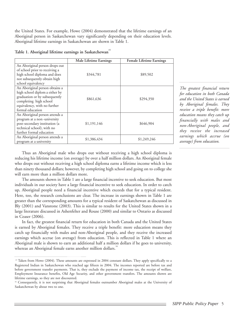the United States. For example, Howe (2004) demonstrated that the lifetime earnings of an Aboriginal person in Saskatchewan vary significantly depending on their education levels. Aboriginal lifetime earnings in Saskatchewan are shown in Table 1.

| Table 1. Aboriginal lifetime earnings in Saskatchewan |  |
|-------------------------------------------------------|--|
|                                                       |  |
|                                                       |  |

|                                                                                                                                                                                 | Male Lifetime Earnings | Female Lifetime Earnings |
|---------------------------------------------------------------------------------------------------------------------------------------------------------------------------------|------------------------|--------------------------|
| An Aboriginal person drops out<br>of school prior to receiving a<br>high school diploma and does<br>not subsequently obtain high<br>school equivalency                          | \$344,781              | \$89,502                 |
| An Aboriginal person obtains a<br>high school diplom a either by<br>graduation or by subsequently<br>completing high school<br>equivalency, with no further<br>formal education | \$861,636              | \$294,350                |
| An Aboriginal person attends a<br>program at a non-university<br>post-secondary institution (a<br>technical school), with no<br>further formal education                        | \$1,191,146            | \$646,904                |
| An Aboriginal person attends a<br>program at a university                                                                                                                       | \$1,386,434            | \$1,249,246              |

*The greatest financial return for education in both Canada and the United States is earned by Aboriginal females. They receive a triple benefit: more education means they catch up financially with males and non-Aboriginal people, and they receive the increased earnings which accrue (on average) from education.*

Thus an Aboriginal male who drops out without receiving a high school diploma is reducing his lifetime income (on average) by over a half million dollars. An Aboriginal female who drops out without receiving a high school diploma earns a lifetime income which is less than ninety thousand dollars; however, by completing high school and going on to college she will earn more than a million dollars more.

The amounts shown in Table 1 are a large financial incentive to seek education. But most individuals in our society have a large financial incentive to seek education. In order to catch up, Aboriginal people need a financial incentive which exceeds that for a typical resident. Here, too, the research conclusions are clear. The increase in earnings shown in Table 1 are greater than the corresponding amounts for a typical resident of Saskatchewan as discussed in Bly (2001) and Vanstone (2003). This is similar to results for the United States shown in a large literature discussed in Ashenfelter and Rouse (2000) and similar to Ontario as discussed in Ceaser (2006).

In fact, the greatest financial return for education in both Canada and the United States is earned by Aboriginal females. They receive a triple benefit: more education means they catch up financially with males and non-Aboriginal people, and they receive the increased earnings which accrue (on average) from education. This is reflected in Table 1 where an Aboriginal male is shown to earn an additional half a million dollars if he goes to university, whereas an Aboriginal female earns another million dollars.

<sup>&</sup>lt;sup>15</sup> Taken from Howe (2004). These amounts are expressed in 2004 constant dollars. They apply specifically to a Registered Indian in Saskatchewan who reached age fifteen in 2004. The incomes reported are before tax and before government transfer payments. That is, they exclude the payment of income tax, the receipt of welfare, Employment Insurance benefits, Old Age Security, and other government transfers. The amounts shown are lifetime earnings, so they are not discounted.

<sup>&</sup>lt;sup>16</sup> Consequently, it is not surprising that Aboriginal females outnumber Aboriginal males at the University of Saskatchewan by about two to one.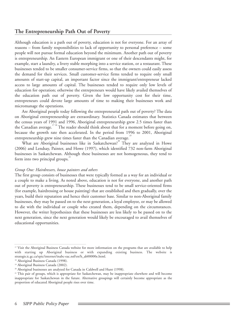#### **The Entrepreneurship Path Out of Poverty**

Although education is a path out of poverty, education is not for everyone. For an array of reasons – from family responsibilities to lack of opportunity to personal preference – some people will not pursue formal education beyond the minimum. Another path out of poverty is entrepreneurship. An Eastern European immigrant or one of their descendants might, for example, start a laundry, a livery stable morphing into a service station, or a restaurant. These businesses tended to be smaller consumer-service firms, so that the owners could easily assess the demand for their services. Small customer-service firms tended to require only small amounts of start-up capital, an important factor since the immigrant/entrepreneur lacked access to large amounts of capital. The businesses tended to require only low levels of education for operation; otherwise the entrepreneurs would have likely availed themselves of the education path out of poverty. Given the low opportunity cost for their time, entrepreneurs could devote large amounts of time to making their businesses work and micromanage the operations.

Are Aboriginal people today following the entrepreneurial path out of poverty? The data on Aboriginal entrepreneurship are extraordinary. Statistics Canada estimates that between the census years of 1991 and 1996, Aboriginal entrepreneurship grew 2.5 times faster than the Canadian average.<sup>1718</sup> The reader should think about that for a moment before going on, because the growth rate then accelerated. In the period from 1996 to 2001, Aboriginal entrepreneurship grew nine times faster than the Canadian average.<sup>19</sup>

What are Aboriginal businesses like in Saskatchewan?<sup>20</sup> They are analyzed in Howe (2006) and Lendsay, Painter, and Howe (1997), which identified 732 non-farm Aboriginal businesses in Saskatchewan. Although these businesses are not homogeneous, they tend to form into two principal groups.<sup>2</sup>

#### *Group One: Hairdressers, house painters and others*

The first group consists of businesses that were typically formed as a way for an individual or a couple to make a living. As noted above, education is not for everyone, and another path out of poverty is entrepreneurship. These businesses tend to be small service-oriented firms (for example, hairdressing or house painting) that are established and then gradually, over the years, build their reputation and hence their customer base. Similar to non-Aboriginal family businesses, they may be passed on to the next generation, a loyal employee, or may be allowed to die with the individual or couple who created them, depending on the circumstances. However, the writer hypothesizes that these businesses are less likely to be passed on to the next generation, since the next generation would likely be encouraged to avail themselves of educational opportunities.

<sup>&</sup>lt;sup>17</sup> Visit the Aboriginal Business Canada website for more information on the programs that are available to help with starting up Aboriginal business or with expanding existing business. The website is strategis.ic.gc.ca/epic/internet/inabc-eac.nsf/en/h\_ab00000e.html.

<sup>&</sup>lt;sup>18</sup> Aboriginal Business Canada (1998).

<sup>19</sup> Aboriginal Business Canada (2002).

<sup>&</sup>lt;sup>20</sup> Aboriginal businesses are analyzed for Canada in Caldwell and Hunt (1998).

<sup>&</sup>lt;sup>21</sup> This pair of groups, which is appropriate for Saskatchewan, may be inappropriate elsewhere and will become inappropriate for Saskatchewan in the future. Alternative groupings will certainly become appropriate as the proportion of educated Aboriginal people rises over time.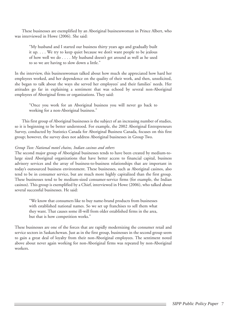These businesses are exemplified by an Aboriginal businesswoman in Prince Albert, who was interviewed in Howe (2006). She said:

"My husband and I started our business thirty years ago and gradually built it up. . . . We try to keep quiet because we don't want people to be jealous of how well we do . . . . My husband doesn't get around as well as he used to so we are having to slow down a little."

In the interview, this businesswoman talked about how much she appreciated how hard her employees worked, and her dependence on the quality of their work, and then, unsolicited, she began to talk about the ways she served her employees' and their families' needs. Her attitudes go far in explaining a sentiment that was echoed by several non-Aboriginal employees of Aboriginal firms or organizations. They said:

"Once you work for an Aboriginal business you will never go back to working for a non-Aboriginal business."

This first group of Aboriginal businesses is the subject of an increasing number of studies, so it is beginning to be better understood. For example, the 2002 Aboriginal Entrepreneurs Survey, conducted by Statistics Canada for Aboriginal Business Canada, focuses on this first group; however, the survey does not address Aboriginal businesses in Group Two.

#### *Group Two: National motel chains, Indian casinos and others*

The second major group of Aboriginal businesses tends to have been created by medium-tolarge sized Aboriginal organizations that have better access to financial capital, business advisory services and the array of business-to-business relationships that are important in today's outsourced business environment. These businesses, such as Aboriginal casinos, also tend to be in consumer service, but are much more highly capitalized than the first group. These businesses tend to be medium-sized consumer-service firms (for example, the Indian casinos). This group is exemplified by a Chief, interviewed in Howe (2006), who talked about several successful businesses. He said:

"We know that consumers like to buy name-brand products from businesses with established national names. So we set up franchises to sell them what they want. That causes some ill-will from older established firms in the area, but that is how competition works."

These businesses are one of the forces that are rapidly modernizing the consumer retail and service sectors in Saskatchewan. Just as in the first group, businesses in the second group seem to gain a great deal of loyalty from their non-Aboriginal employees. The sentiment noted above about never again working for non-Aboriginal firms was repeated by non-Aboriginal workers.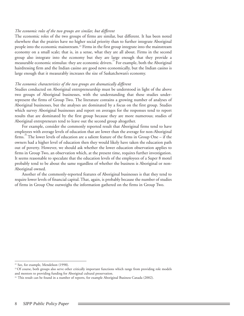#### *The economic roles of the two groups are similar, but different*

The economic roles of the two groups of firms are similar, but different. It has been noted elsewhere that the prairies have no higher social priority than to further integrate Aboriginal people into the economic mainstream.22 Firms in the first group integrate into the mainstream economy on a small scale; that is, in a sense, what they are all about. Firms in the second group also integrate into the economy but they are large enough that they provide a measurable economic stimulus: they are economic drivers.<sup>23</sup> For example, both the Aboriginal hairdressing firm and the Indian casino are good news economically, but the Indian casino is large enough that it measurably increases the size of Saskatchewan's economy.

#### *The economic characteristics of the two groups are dramatically different*

Studies conducted on Aboriginal entrepreneurship must be understood in light of the above two groups of Aboriginal businesses, with the understanding that these studies underrepresent the firms of Group Two. The literature contains a growing number of analyses of Aboriginal businesses, but the analyses are dominated by a focus on the first group. Studies which survey Aboriginal businesses and report on averages for the responses tend to report results that are dominated by the first group because they are more numerous; studies of Aboriginal entrepreneurs tend to leave out the second group altogether.

For example, consider the commonly reported result that Aboriginal firms tend to have employees with average levels of education that are lower than the average for non-Aboriginal firms.<sup>24</sup> The lower levels of education are a salient feature of the firms in Group One – if the owners had a higher level of education then they would likely have taken the education path out of poverty. However, we should ask whether the lower education observation applies to firms in Group Two, an observation which, at the present time, requires further investigation. It seems reasonable to speculate that the education levels of the employees of a Super 8 motel probably tend to be about the same regardless of whether the business is Aboriginal or non-Aboriginal owned.

Another of the commonly-reported features of Aboriginal businesses is that they tend to require lower levels of financial capital. That, again, is probably because the number of studies of firms in Group One outweighs the information gathered on the firms in Group Two.

<sup>&</sup>lt;sup>22</sup> See, for example, Mendelson (1998).

<sup>&</sup>lt;sup>23</sup> Of course, both groups also serve other critically important functions which range from providing role models and mentors to providing funding for Aboriginal cultural preservation.

 $24$  This result can be found in a number of reports, for example Aboriginal Business Canada (2002).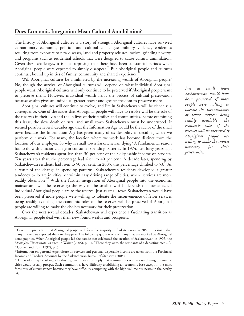#### **Does Economic Integration Mean Cultural Annihilation?**

The history of Aboriginal cultures is a story of strength. Aboriginal cultures have survived extraordinary economic, political and cultural challenges: military violence, epidemics resulting from exposure to new diseases, land and property seizures, racism, grinding poverty, and programs such as residential schools that were designed to cause cultural annihilation. Given these challenges, it is not surprising that there have been substantial periods when Aboriginal people were expected to simply disappear.<sup>25</sup> But Aboriginal people and cultures continue, bound up in ties of family, community and shared experience.<sup>2</sup>

Will Aboriginal cultures be annihilated by the increasing wealth of Aboriginal people? No, though the survival of Aboriginal cultures will depend on what individual Aboriginal people want. Aboriginal cultures will only continue to be preserved if Aboriginal people want to preserve them. However, individual wealth helps the process of cultural preservation because wealth gives an individual greater power and greater freedom to preserve more.

Aboriginal cultures will continue to evolve, and life in Saskatchewan will be richer as a consequence. One of the issues that Aboriginal people will have to resolve will be the role of the reserves in their lives and the in lives of their families and communities. Before examining this issue, the slow death of rural and small town Saskatchewan must be understood. It seemed possible several decades ago that the Information Age would be the savior of the small town because the Information Age has given many of us flexibility in deciding where we perform our work. For many, the location where we work has become distinct from the location of our employer. So why is small town Saskatchewan dying? A fundamental reason has to do with a major change in consumer spending patterns. In 1974, just forty years ago, Saskatchewan's residents spent less than 30 per cent of their disposable income on services. Ten years after that, the percentage had risen to 40 per cent. A decade later, spending by Saskatchewan residents had risen to 50 per cent. In 2005, this percentage climbed to 53. $\degree$  As a result of the change in spending patterns, Saskatchewan residents developed a greater tendency to locate in cities, or within easy driving range of cities, where services are more readily obtainable.<sup>28</sup> With the further integration of Aboriginal people into the economic mainstream, will the reserve go the way of the small town? It depends on how attached individual Aboriginal people are to the reserve. Just as small town Saskatchewan would have been preserved if more people were willing to tolerate the inconvenience of fewer services being readily available, the economic roles of the reserves will be preserved if Aboriginal people are willing to make the choices necessary for their preservation.

Over the next several decades, Saskatchewan will experience a fascinating transition as Aboriginal people deal with their new-found wealth and prosperity.

*Just as small town Saskatchewan would have been preserved if more people were willing to tolerate the inconvenience of fewer services being readily available, the economic roles of the reserves will be preserved if Aboriginal people are willing to make the choices necessary for their preservation.*

<sup>&</sup>lt;sup>25</sup> Given the prediction that Aboriginal people will form the majority in Saskatchewan by 2050, it is ironic that many in the past expected them to disappear. The following quote is one of many that are mocked by Aboriginal demographics. When Aboriginal people led the parade that celebrated the creation of Saskatchewan in 1905, the *Moose Jaw Times* wrote, as cited in Waiser (2005), p. 21, "There they were, the remnants of a departing race ...". 26 Cornell and Kalt (1992), p. 3.

<sup>27</sup> Information on personal expenditure on services and personal disposable income are taken from the Provincial Income and Product Accounts by the Saskatchewan Bureau of Statistics (2005).

<sup>&</sup>lt;sup>28</sup> The reader may be asking why this argument does not imply that communities within easy driving distance of cities would usually prosper. Such communities have difficulty establishing an economic base except in the most fortuitous of circumstances because they have difficulty competing with the high-volume businesses in the nearby city.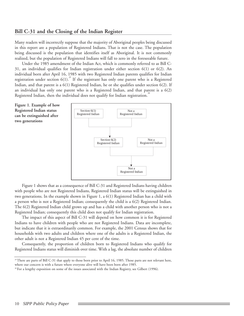#### **Bill C-31 and the Closing of the Indian Register**

Many readers will incorrectly suppose that the majority of Aboriginal peoples being discussed in this report are a population of Registered Indians. That is not the case. The population being discussed is the population that identifies itself as Aboriginal. It is not commonly realized, but the population of Registered Indians will fall to zero in the foreseeable future.

Under the 1985 amendment of the Indian Act, which is commonly referred to as Bill C-31, an individual qualifies for Indian registration under either section 6(1) or 6(2). An individual born after April 16, 1985 with two Registered Indian parents qualifies for Indian registration under section  $6(1)$ .<sup>29</sup> If the registrant has only one parent who is a Registered Indian, and that parent is a 6(1) Registered Indian, he or she qualifies under section 6(2). If an individual has only one parent who is a Registered Indian, and that parent is a 6(2) Registered Indian, then the individual does not qualify for Indian registration.

**Figure 1. Example of how Registered Indian status can be extinguished after two generations**



Figure 1 shows that as a consequence of Bill C-31 and Registered Indians having children with people who are not Registered Indians, Registered Indian status will be extinguished in two generations. In the example shown in Figure 1, a 6(1) Registered Indian has a child with a person who is not a Registered Indian; consequently the child is a 6(2) Registered Indian. The 6(2) Registered Indian child grows up and has a child with another person who is not a Registered Indian; consequently this child does not qualify for Indian registration.

The impact of this aspect of Bill C-31 will depend on how common it is for Registered Indians to have children with people who are not Registered Indians. Data are incomplete, but indicate that it is extraordinarily common. For example, the 2001 Census shows that for households with two adults and children where one of the adults is a Registered Indian, the other adult is not a Registered Indian 45 per cent of the time.

Consequently, the proportion of children born to Registered Indians who qualify for Registered Indians status will diminish over time. With a lag, the absolute number of children

<sup>&</sup>lt;sup>29</sup> There are parts of Bill C-31 that apply to those born prior to April 16, 1985. Those parts are not relevant here, where our concern is with a future where everyone alive will have been born after 1985.

<sup>30</sup> For a lengthy exposition on some of the issues associated with the Indian Registry, see Gilbert (1996).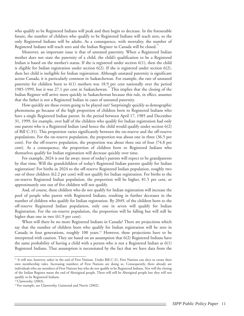who qualify to be Registered Indians will peak and then begin to decrease. In the foreseeable future, the number of children who qualify to be Registered Indians will reach zero, so the only Registered Indians will be adults. As a consequence, with mortality, the number of Registered Indians will reach zero and the Indian Register in Canada will be closed.<sup>31</sup>

Moreover, an important issue is that of unstated paternity. When a Registered Indian mother does not state the paternity of a child, the child's qualification to be a Registered Indian is based on the mother's status. If she is registered under section  $6(1)$ , then the child is eligible for Indian registration under section  $6(2)$ . If she is registered under section  $6(2)$ , then her child is ineligible for Indian registration. Although unstated paternity is significant across Canada, it is particularly common in Saskatchewan. For example, the rate of unstated paternity for children born to 6(1) mothers was 18.9 per cent nationally over the period 1985-1999, but it was  $27.1$  per cent in Saskatchewan.<sup>32</sup> This implies that the closing of the Indian Register will arrive more quickly in Saskatchewan because this rule, in effect, assumes that the father is not a Registered Indian in cases of unstated paternity.

How quickly are these events going to be played out? Surprisingly quickly as demographic phenomena go because of the high proportion of children born to Registered Indians who have a single Registered Indian parent. In the period between April 17, 1985 and December 31, 1999, for example, over half of the children who qualify for Indian registration had only one parent who is a Registered Indian (and hence the child would qualify under section 6(2) of Bill C-31). This proportion varies significantly between the on-reserve and the off-reserve populations. For the on-reserve population, the proportion was about one in three (36.5 per cent). For the off-reserve population, the proportion was about three out of four (74.8 per cent). As a consequence, the proportion of children born to Registered Indians who themselves qualify for Indian registration will decrease quickly over time.

For example, 2024 is not far away; most of today's parents will expect to be grandparents by that time. Will the grandchildren of today's Registered Indian parents qualify for Indian registration? For births in 2024 to the off-reserve Registered Indian population, roughly two out of three children (62.2 per cent) will not qualify for Indian registration. For births to the on-reserve Registered Indian population, the proportion will be higher, 81.5 per cent, or approximately one out of five children will not qualify.

And, of course, these children who do not qualify for Indian registration will increase the pool of people who parent with Registered Indians, resulting in further decreases in the number of children who qualify for Indian registration. By 2049, of the children born to the off-reserve Registered Indian population, only one in seven will qualify for Indian Registration. For the on-reserve population, the proportion will be falling but will still be higher than one in two (61.9 per cent).

When will there be no more Registered Indians in Canada? There are projections which say that the number of children born who qualify for Indian registration will be zero in Canada in four generations, roughly 100 years.33 However, these projections have to be interpreted with caution. They are based on an assumption that 6(2) Registered Indians have the same probability of having a child with a person who is not a Registered Indian as 6(1) Registered Indians. That assumption is necessitated by the fact that we have data from the

<sup>31</sup> It will not, however, usher in the end of First Nations. Under Bill C-31, First Nations can elect to create their own membership rules. Increasing numbers of First Nations are doing so. Consequently, there already are individuals who are members of First Nations but who do not qualify to be Registered Indians. Nor will the closing of the Indian Register mean the end of Aboriginal people. There will still be Aboriginal people but they will not qualify to be Registered Indians.

<sup>&</sup>lt;sup>32</sup> Clatworthy (2003).

<sup>&</sup>lt;sup>33</sup> For example, see Clatworthy, Guimond and Norris (2002).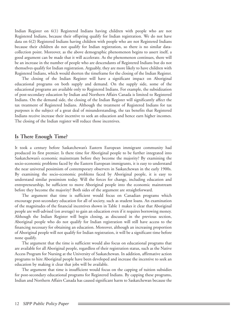Indian Register on 6(1) Registered Indians having children with people who are not Registered Indians, because their offspring qualify for Indian registration. We do not have data on 6(2) Registered Indians having children with people who are not Registered Indians because their children do not qualify for Indian registration, so there is no similar datacollection point. Moreover, as the above demographic phenomenon begins to assert itself, a good argument can be made that it will accelerate. As the phenomenon continues, there will be an increase in the number of people who are descendants of Registered Indians but do not themselves qualify for Indian registration. Arguably, they are more likely to have children with Registered Indians, which would shorten the timeframe for the closing of the Indian Register.

The closing of the Indian Register will have a significant impact on Aboriginal educational programs on both supply and demand. On the supply side, some of the educational programs are available only to Registered Indians. For example, the subsidization of post-secondary education by Indian and Northern Affairs Canada is limited to Registered Indians. On the demand side, the closing of the Indian Register will significantly affect the tax treatment of Registered Indians. Although the treatment of Registered Indians for tax purposes is the subject of a great deal of misunderstanding, the tax benefits that Registered Indians receive increase their incentive to seek an education and hence earn higher incomes. The closing of the Indian register will reduce those incentives.

#### **Is There Enough Time?**

It took a century before Saskatchewan's Eastern European immigrant community had produced its first premier. Is there time for Aboriginal people to be further integrated into Saskatchewan's economic mainstream before they become the majority? By examining the socio-economic problems faced by the Eastern European immigrants, it is easy to understand the near universal pessimism of contemporary observers in Saskatchewan in the early 1900s. By examining the socio-economic problems faced by Aboriginal people, it is easy to understand similar pessimism today. Will the forces for change, including education and entrepreneurship, be sufficient to move Aboriginal people into the economic mainstream before they become the majority? Both sides of the argument are straightforward.

The argument that time is sufficient would focus on Canadian programs which encourage post-secondary education for all of society, such as student loans. An examination of the magnitudes of the financial incentives shown in Table 1 makes it clear that Aboriginal people are well-advised (on average) to gain an education even if it requires borrowing money. Although the Indian Register will begin closing, as discussed in the previous section, Aboriginal people who do not qualify for Indian registration will still have access to the financing necessary for obtaining an education. Moreover, although an increasing proportion of Aboriginal people will not qualify for Indian registration, it will be a significant time before none qualify.

The argument that the time is sufficient would also focus on educational programs that are available for all Aboriginal people, regardless of their registration status, such as the Native Access Program for Nursing at the University of Saskatchewan. In addition, affirmative action programs to hire Aboriginal people have been developed and increase the incentive to seek an education by making it clear that jobs will be available.

The argument that time is insufficient would focus on the capping of tuition subsidies for post-secondary educational programs for Registered Indians. By capping these programs, Indian and Northern Affairs Canada has caused significant harm to Saskatchewan because the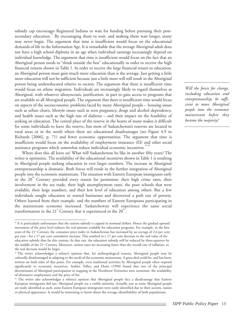subsidy cap encourages Registered Indians to wait for funding before pursuing their postsecondary education.<sup>34</sup> By encouraging them to wait, and making them wait longer, many may never begin. The argument that time is insufficient would focus on the educational demands of life in the Information Age. It is remarkable that the average Aboriginal adult does not have a high school diploma in an age when individual earnings increasingly depend on individual knowledge. The argument that time is insufficient would focus on the fact that an Aboriginal person needs to "think outside the box" educationally in order to receive the high financial returns shown in Table 1. In order to receive the large financial return to education, an Aboriginal person must gain much more education than is the average. Just getting a little more education will not be sufficient because just a little more will still result in the Aboriginal person being undereducated relative to society. The argument that there is insufficient time would focus on ethnic migration. Individuals are increasingly likely to regard themselves as Aboriginal, with whatever idiosyncratic justification, in part to gain access to programs that are available to all Aboriginal people. The argument that there is insufficient time would focus on aspects of the socioeconomic problems faced by many Aboriginal people – housing issues such as urban churn, lifestyle issues such as teen pregnancy, drugs and alcohol dependency, and health issues such as the high rate of diabetes – and their impact on the feasibility of seeking an education. The central place of the reserve in the hearts of many makes it difficult for some individuals to leave the reserve, but most of Saskatchewan's reserves are located in rural areas or in the north where there are educational disadvantages (see Figure 4.9 in Richards [2006], p. 71) and fewer economic opportunities. The argument that time is insufficient would focus on the availability of employment insurance (EI) and other social assistance programs which somewhat reduce individual economic incentives.<sup>3</sup>

Where does this all leave us? What will Saskatchewan be like in another fifty years? The writer is optimistic. The availability of the educational incentives shown in Table 1 is resulting in Aboriginal people seeking education in ever larger numbers. The increase in Aboriginal entrepreneurship is dramatic. Both forces will result in the further integration of Aboriginal people into the economic mainstream. The situation with Eastern European immigrants early in the  $20<sup>th</sup>$  Century provided every reason for pessimism: their high crime rates, their involvement in the sex trade, their high unemployment rates, the poor schools that were available, their large numbers, and their low level of education among others. But a few individuals sought education or started businesses and discovered a path out of poverty. Others learned from their example, and the numbers of Eastern Europeans participating in the mainstream economy increased. Saskatchewan will experience the same social transformation in the 21<sup>\*</sup> Century that it experienced in the 20<sup> $^{\text{th}}$ </sup>.

*Will the forces for change, including education and entrepreneurship, be sufficient to move Aboriginal people into the economic mainstream before they become the majority?* 

<sup>34</sup> It is particularly unfortunate that the tuition subsidy is capped in nominal dollars. Hence the gradual upward movement of the price level reduces the real amount available for education programs. For example, in the first years of the 21<sup>st</sup> Century, the consumer price index in Saskatchewan has increased by an average of 2.6 per cent per year - for a 17 per cent cumulative increase. This resulted in a 17 per cent decrease in the real value of the education subsidy thus far this century. At that rate, the education subsidy will be reduced by three-quarters by the middle of the 21<sup>st</sup> Century. Moreover, tuition rates are increasing faster than the overall rate of inflation, so the real decrease would be larger.

<sup>&</sup>lt;sup>35</sup> The writer acknowledges a referee's opinion that, for anthropological reasons, Aboriginal people may be culturally disadvantaged in adapting to the needs of the economic mainstream. A great deal could be, and has been, written on both sides of that point. For example, even traditional activities by Aboriginal people often respond significantly to economic incentives. Stabler, Tolley, and Howe (1990) found that two of the principal determinants of Aboriginal participation in trapping in the Northwest Territories were economic: the availability of alternative employment and the price of fur.

<sup>36</sup> The writer also acknowledges a referee's opinion that Aboriginal people face a disadvantage that Eastern European immigrants did not: Aboriginal people are a visible minority. Actually, just as some Aboriginal people are easily identified as such, some Eastern European immigrants were easily identified due to their accents, names or physical appearance. It would be interesting to know about the average identifiability of both populations.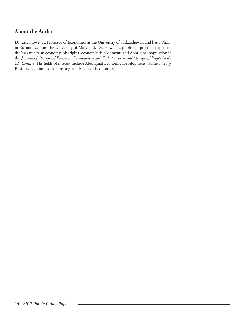### **About the Author**

Dr. Eric Howe is a Professor of Economics at the University of Saskatchewan and has a Ph.D. in Economics from the University of Maryland. Dr. Howe has published previous papers on the Saskatchewan economy, Aboriginal economic development, and Aboriginal population in the *Journal of Aboriginal Economic Development* and *Saskatchewan and Aboriginal People in the 21st Century*. His fields of interest include Aboriginal Economic Development, Game Theory, Business Economics, Forecasting and Regional Economics.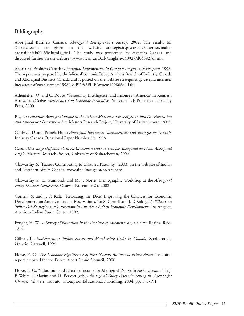## **Bibliography**

Aboriginal Business Canada: *Aboriginal Entrepreneurs Survey*, 2002. The results for Saskatchewan are given on the website strategis.ic.gc.ca/epic/internet/inabceac.nsf/en/ab00433e.html#\_ftn1. The study was performed by Statistics Canada and discussed further on the website www.statcan.ca/Daily/English/040927/d040927d.htm.

Aboriginal Business Canada: *Aboriginal Entrepreneurs in Canada: Progress and Prospects*, 1998. The report was prepared by the Micro-Economic Policy Analysis Branch of Industry Canada and Aboriginal Business Canada and is posted on the website strategis.ic.gc.ca/epic/internet/ ineas-aes.nsf/vwapj/srmem199806e.PDF/\$FILE/srmem199806e.PDF.

Ashenfelter, O. and C. Rouse: "Schooling, Intelligence, and Income in America" in Kenneth Arrow, *et. al* (eds): *Meritocracy and Economic Inequality.* Princeton, NJ: Princeton University Press, 2000.

Bly, B.: *Canadian Aboriginal People in the Labour Market: An Investigation into Discrimination and Anticipated Discrimination*. Masters Research Project, University of Saskatchewan, 2003.

Caldwell, D. and Pamela Hunt: *Aboriginal Businesses: Characteristics and Strategies for Growth*. Industry Canada Occasional Paper Number 20, 1998.

Ceaser, M.: *Wage Differentials in Saskatchewan and Ontario for Aboriginal and Non-Aboriginal People*. Masters Research Project, University of Saskatchewan, 2006.

Clatworthy, S: "Factors Contributing to Unstated Paternity," 2003, on the web site of Indian and Northern Affairs Canada, www.ainc-inac.gc.ca/pr/ra/uncp/.

Clatworthy, S., E. Guimond, and M. J. Norris: Demographic Workshop at the *Aboriginal Policy Research Conference*, Ottawa, November 25, 2002.

Cornell, S. and J. P. Kalt: "Reloading the Dice: Improving the Chances for Economic Development on American Indian Reservations," in S. Cornell and J. P. Kalt (eds): *What Can Tribes Do? Strategies and Institutions in American Indian Economic Development*. Los Angeles: American Indian Study Center, 1992.

Fought, H. W.: *A Survey of Education in the Province of Saskatchewan, Canada*. Regina: Reid, 1918.

Gilbert, L.: *Entitlement to Indian Status and Membership Codes in Canada*. Scarborough, Ontario: Carswell, 1996.

Howe, E. C.: *The Economic Significance of First Nations Business to Prince Albert*. Technical report prepared for the Prince Albert Grand Council, 2006.

Howe, E. C.: "Education and Lifetime Income for Aboriginal People in Saskatchewan," in J. P, White, P. Maxim and D. Beavon (eds.), *Aboriginal Policy Research: Setting the Agenda for Change, Volume 1*, Toronto: Thompson Educational Publishing, 2004, pp. 175-191.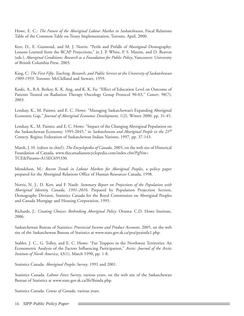Howe, E. C.: *The Future of the Aboriginal Labour Market in Saskatchewan*, Fiscal Relations Table of the Common Table on Treaty Implementation, Toronto, April, 2000.

Kerr, D., E. Guimond, and M. J. Norris: "Perils and Pitfalls of Aboriginal Demography: Lessons Learned from the RCAP Projections," in J. P. White, P. S. Maxim, and D. Beavon (eds.), *Aboriginal Conditions: Research as a Foundation for Public Policy*, Vancouver: University of British Columbia Press. 2003.

King, C: *The First Fifty: Teaching, Research, and Public Service at the University of Saskatchewan 1909-1959*. Toronto: McClelland and Stewart, 1959.

Koski, A., B.A. Berkey, K. K. Ang, and K. K. Fu: "Effect of Education Level on Outcome of Patients Treated on Radiation Therapy Oncology Group Protocol 90-03," *Cancer*, 98(7), 2003.

Lendsay, K., M. Painter, and E. C. Howe: "Managing Saskatchewan's Expanding Aboriginal Economic Gap," *Journal of Aboriginal Economic Development*, 1(2), Winter 2000, pp. 31-45.

Lendsay, K., M. Painter, and E. C. Howe: "Impact of the Changing Aboriginal Population on the Saskatchewan Economy: 1995-2045," in *Saskatchewan and Aboriginal People in the 21st Century*. Regina: Federation of Saskatchewan Indian Nations, 1997, pp. 37-143.

Marsh, J. H. (editor in chief): *The Encyclopedia of Canada*, 2005, on the web site of Historical Foundation of Canada, www.thecanadianencyclopedia.com/index.cfm?PgNm= TCE&Params=A1SEC695330.

Mendelson, M.: *Recent Trends in Labour Markets for Aboriginal Peoples*, a policy paper prepared for the Aboriginal Relations Office of Human Resources Canada, 1998.

Norris, N. J., D. Kerr, and F. Nault: *Summary Report on Projections of the Population with Aboriginal Identity, Canada, 1991-2016*. Prepared by Population Projection Section, Demography Division, Statistics Canada for the Royal Commission on Aboriginal Peoples and Canada Mortgage and Housing Corporation, 1995.

Richards, J.: *Creating Choices: Rethinking Aboriginal Policy*. Ottawa: C.D. Howe Institute, 2006.

Saskatchewan Bureau of Statistics: *Provincial Income and Product Accounts*, 2005, on the web site of the Saskatchewan Bureau of Statistics at www.stats.gov.sk.ca/pea/peaindx1.php.

Stabler, J. C., G. Tolley, and E. C. Howe: "Fur Trappers in the Northwest Territories: An Econometric Analysis of the Factors Influencing Participation," *Arctic: Journal of the Arctic Institute of North America*, 43(1), March 1990, pp. 1-8.

Statistics Canada: *Aboriginal Peoples Survey*, 1991 and 2001.

Statistics Canada: *Labour Force Survey*, various years, on the web site of the Saskatchewan Bureau of Statistics at www.stats.gov.sk.ca/lfs/lfsindx.php.

Statistics Canada: *Census of Canada*, various years.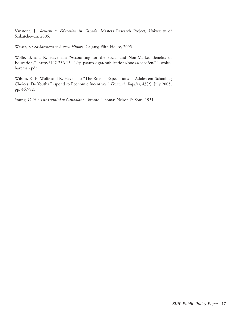Vanstone, J.: *Returns to Education in Canada*. Masters Research Project, University of Saskatchewan, 2005.

Waiser, B.: *Saskatchewan: A New History*. Calgary, Fifth House, 2005.

Wolfe, B. and R. Haveman: "Accounting for the Social and Non-Market Benefits of Education," http://142.236.154.1/sp-ps/arb-dgra/publications/books/oecd/en/11-wolfehaveman.pdf.

Wilson, K, B. Wolfe and R. Haveman: "The Role of Expectations in Adolescent Schooling Choices: Do Youths Respond to Economic Incentives," *Economic Inquiry*, 43(2), July 2005, pp. 467-92.

Young, C. H.: *The Ukrainian Canadians*. Toronto: Thomas Nelson & Sons, 1931.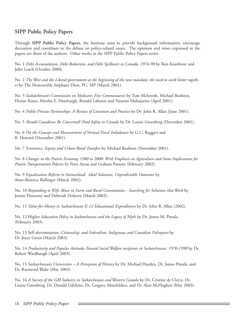### **SIPP Public Policy Papers**

Through **SIPP Public Policy Papers**, the Institute aims to provide background information, encourage discussion and contribute to the debate on policy-related issues. The opinions and views expressed in the papers are those of the authors. Other works in the SIPP Public Policy Papers series:

No. 1 *Debt Accumulation, Debt Reduction, and Debt Spillovers in Canada, 1974-98* by Ron Kneebone and John Leach (October 2000).

No. 2 *The West and the Liberal government at the beginning of the new mandate: the need to work better together* by The Honourable Stéphane Dion, PC, MP (March 2001).

No. 3 *Saskatchewan's Commission on Medicare: Five Commentaries* by Tom McIntosh, Michael Rushton, Denise Kouri, Martha E. Horsburgh, Ronald Labonte and Nazeem Muhajarine (April 2001).

No. 4 *Public-Private Partnerships: A Review of Literature and Practice* by Dr. John R. Allan (June 2001).

No. 5 *Should Canadians Be Concerned? Food Safety in Canada* by Dr. Louise Greenberg (December 2001).

No. 6 *On the Concept and Measurement of Vertical Fiscal Imbalances* by G.C. Ruggeri and R. Howard (December 2001).

No. 7 *Economics, Equity and Urban-Rural Transfers* by Michael Rushton (November 2001).

No. 8 *Changes in the Prairie Economy, 1980 to 2000: With Emphasis on Agriculture and Some Implications for Prairie Transportation Policies* by Peter Arcus and Graham Parsons (February 2002).

No. 9 *Equalization Reform in Switzerland: Ideal Solutions, Unpredictable Outcomes* by Anne-Béatrice Bullinger (March 2002).

No. 10 *Responding to Wife Abuse in Farm and Rural Communities - Searching for Solutions that Work* by Jennie Hornosty and Deborah Doherty (March 2002).

No. 11 *Value-for-Money in Saskatchewan K-12 Educational Expenditures* by Dr. John R. Allan (2002).

No. 12 Higher *Education Policy in Saskatchewan and the Legacy of Myth* by Dr. James M. Pitsula (February 2003).

No. 13 Self*-determination, Citizenship, and Federalism: Indigenous and Canadian Palimpsest* by Dr. Joyce Green (March 2003).

No. 14 *Productivity and Popular Attitudes Toward Social Welfare recipients in Saskatchewan, 1970-1990* by Dr. Robert Wardhaugh (April 2003).

No. 15 *Saskatchewan's Universities – A Perception of History* by Dr. Michael Hayden, Dr. James Pitsula, and Dr. Raymond Blake (May 2003).

No. 16 *A Survey of the GM Industry in Saskatchewan and Western Canada* by Dr. Cristine de Clercy, Dr. Louise Greenberg, Dr. Donald Gilchrist, Dr. Gregory Marchildon, and Dr. Alan McHughen (May 2003).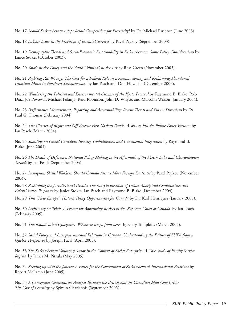No. 17 *Should Saskatchewan Adopt Retail Competition for Electricity?* by Dr. Michael Rushton (June 2003).

No. 18 *Labour Issues in the Provision of Essential Services* by Pavel Peykov (September 2003).

No. 19 *Demographic Trends and Socio-Economic Sustainability in Saskatchewan: Some Policy Considerations* by Janice Stokes (October 2003).

No. 20 *Youth Justice Policy and the Youth Criminal Justice Act* by Ross Green (November 2003).

No. 21 *Righting Past Wrongs: The Case for a Federal Role in Decommissioning and Reclaiming Abandoned Uranium Mines in Northern Saskatchewan* by Ian Peach and Don Hovdebo (December 2003).

No. 22 *Weathering the Political and Environmental Climate of the Kyoto Protocol* by Raymond B. Blake, Polo Diaz, Joe Piwowar, Michael Polanyi, Reid Robinson, John D. Whyte, and Malcolm Wilson (January 2004).

No. 23 *Performance Measurement, Reporting and Accountability: Recent Trends and Future Directions* by Dr. Paul G. Thomas (February 2004).

No. 24 *The Charter of Rights and Off-Reserve First Nations People: A Way to Fill the Public Policy Vacuum* by Ian Peach (March 2004).

No. 25 *Standing on Guard Canadian Identity, Globalization and Continental Integration* by Raymond B. Blake (June 2004).

No. 26 *The Death of Deference: National Policy-Making in the Aftermath of the Meech Lake and Charlottetown Accords* by Ian Peach (September 2004).

No. 27 *Immigrant Skilled Workers: Should Canada Attract More Foreign Students?* by Pavel Peykov (November 2004).

No. 28 *Rethinking the Jurisdictional Divide: The Marginalization of Urban Aboriginal Communities and Federal Policy Responses* by Janice Stokes, Ian Peach and Raymond B. Blake (December 2004).

No. 29 *This "New Europe": Historic Policy Opportunities for Canada* by Dr. Karl Henriques (January 2005).

No. 30 *Legitimacy on Trial: A Process for Appointing Justices to the Supreme Court of Canada* by Ian Peach (February 2005).

No. 31 *The Equalization Quagmire: Where do we go from here?* by Gary Tompkins (March 2005).

No. 32 *Social Policy and Intergovernmental Relations in Canada: Understanding the Failure of SUFA from a Quebec Perspective* by Joseph Facal (April 2005).

No. 33 *The Saskatchewan Voluntary Sector in the Context of Social Enterprise: A Case Study of Family Service Regina* by James M. Pitsula (May 2005).

No. 34 *Keeping up with the Joneses: A Policy for the Government of Saskatchewan's International Relations* by Robert McLaren (June 2005).

No. 35 *A Conceptual Comparative Analysis Between the British and the Canadian Mad Cow Crisis: The Cost of Learning* by Sylvain Charlebois (September 2005).